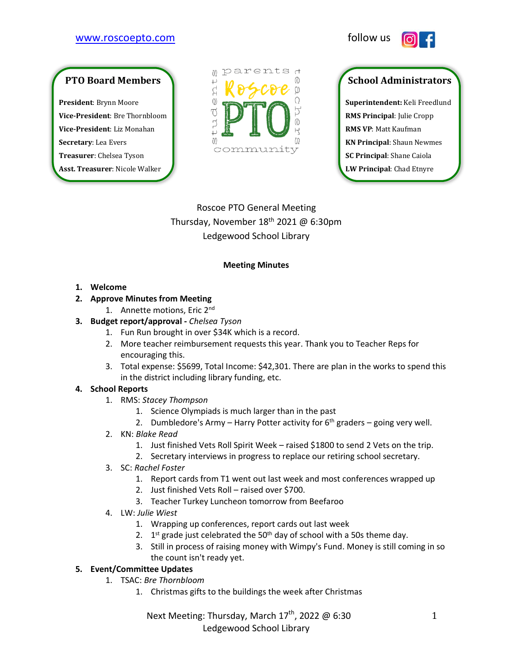## [www.roscoepto.com](http://www.roscoepto.com/) follow us



# **PTO Board Members**

**President**: Brynn Moore **Vice-President**: Bre Thornbloom **Vice-President**: Liz Monahan **Secretary**: Lea Evers **Treasurer**: Chelsea Tyson **Asst. Treasurer**: Nicole Walker



## **School Administrators**

**Superintendent:** Keli Freedlund **RMS Principal**: Julie Cropp **RMS VP**: Matt Kaufman **KN Principal**: Shaun Newmes **SC Principal**: Shane Caiola **LW Principal**: Chad Etnyre

Roscoe PTO General Meeting Thursday, November 18<sup>th</sup> 2021 @ 6:30pm Ledgewood School Library

#### **Meeting Minutes**

**1. Welcome** 

#### **2. Approve Minutes from Meeting**

1. Annette motions, Eric 2nd

#### **3. Budget report/approval -** *Chelsea Tyson*

- 1. Fun Run brought in over \$34K which is a record.
- 2. More teacher reimbursement requests this year. Thank you to Teacher Reps for encouraging this.
- 3. Total expense: \$5699, Total Income: \$42,301. There are plan in the works to spend this in the district including library funding, etc.

#### **4. School Reports**

- 1. RMS: *Stacey Thompson*
	- 1. Science Olympiads is much larger than in the past
	- 2. Dumbledore's Army Harry Potter activity for  $6<sup>th</sup>$  graders going very well.
- 2. KN: *Blake Read*
	- 1. Just finished Vets Roll Spirit Week raised \$1800 to send 2 Vets on the trip.
	- 2. Secretary interviews in progress to replace our retiring school secretary.
- 3. SC: *Rachel Foster*
	- 1. Report cards from T1 went out last week and most conferences wrapped up
	- 2. Just finished Vets Roll raised over \$700.
	- 3. Teacher Turkey Luncheon tomorrow from Beefaroo
- 4. LW: *Julie Wiest*
	- 1. Wrapping up conferences, report cards out last week
	- 2.  $1<sup>st</sup>$  grade just celebrated the 50<sup>th</sup> day of school with a 50s theme day.
	- 3. Still in process of raising money with Wimpy's Fund. Money is still coming in so the count isn't ready yet.

## **5. Event/Committee Updates**

- 1. TSAC: *Bre Thornbloom*
	- 1. Christmas gifts to the buildings the week after Christmas

Next Meeting: Thursday, March 17<sup>th</sup>, 2022 @ 6:30 Ledgewood School Library